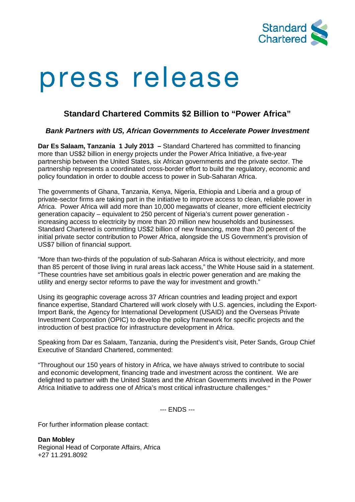

# press release

# **Standard Chartered Commits \$2 Billion to "Power Africa"**

## *Bank Partners with US, African Governments to Accelerate Power Investment*

**Dar Es Salaam, Tanzania 1 July 2013 –** Standard Chartered has committed to financing more than US\$2 billion in energy projects under the Power Africa Initiative, a five-year partnership between the United States, six African governments and the private sector. The partnership represents a coordinated cross-border effort to build the regulatory, economic and policy foundation in order to double access to power in Sub-Saharan Africa.

The governments of Ghana, Tanzania, Kenya, Nigeria, Ethiopia and Liberia and a group of private-sector firms are taking part in the initiative to improve access to clean, reliable power in Africa. Power Africa will add more than 10,000 megawatts of cleaner, more efficient electricity generation capacity – equivalent to 250 percent of Nigeria's current power generation increasing access to electricity by more than 20 million new households and businesses. Standard Chartered is committing US\$2 billion of new financing, more than 20 percent of the initial private sector contribution to Power Africa, alongside the US Government's provision of US\$7 billion of financial support.

"More than two-thirds of the population of sub-Saharan Africa is without electricity, and more than 85 percent of those living in rural areas lack access," the White House said in a statement. "These countries have set ambitious goals in electric power generation and are making the utility and energy sector reforms to pave the way for investment and growth."

Using its geographic coverage across 37 African countries and leading project and export finance expertise, Standard Chartered will work closely with U.S. agencies, including the Export-Import Bank, the Agency for International Development (USAID) and the Overseas Private Investment Corporation (OPIC) to develop the policy framework for specific projects and the introduction of best practice for infrastructure development in Africa.

Speaking from Dar es Salaam, Tanzania, during the President's visit, Peter Sands, Group Chief Executive of Standard Chartered, commented:

"Throughout our 150 years of history in Africa, we have always strived to contribute to social and economic development, financing trade and investment across the continent. We are delighted to partner with the United States and the African Governments involved in the Power Africa Initiative to address one of Africa's most critical infrastructure challenges."

--- ENDS ---

For further information please contact:

**Dan Mobley**  Regional Head of Corporate Affairs, Africa +27 11.291.8092